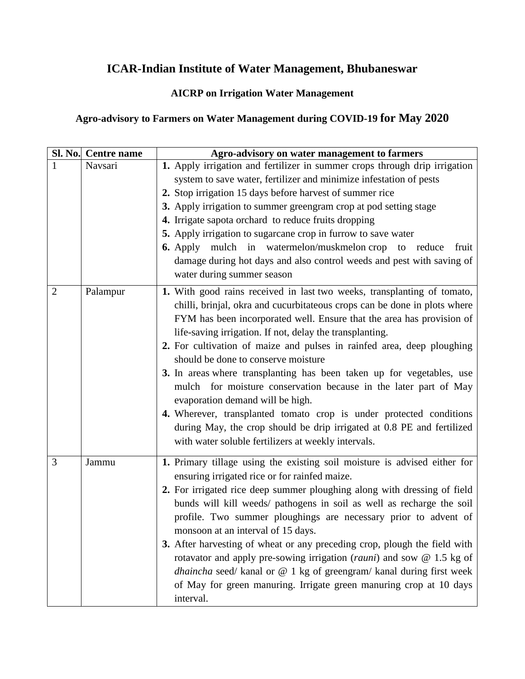## **ICAR-Indian Institute of Water Management, Bhubaneswar**

## **AICRP on Irrigation Water Management**

## **Agro-advisory to Farmers on Water Management during COVID-19 for May 2020**

|   | Sl. No. Centre name | Agro-advisory on water management to farmers                                                                                                                                                                                                                                                                                                                                                                                                                                                                                                                                                                                                                                                                                                                                                        |
|---|---------------------|-----------------------------------------------------------------------------------------------------------------------------------------------------------------------------------------------------------------------------------------------------------------------------------------------------------------------------------------------------------------------------------------------------------------------------------------------------------------------------------------------------------------------------------------------------------------------------------------------------------------------------------------------------------------------------------------------------------------------------------------------------------------------------------------------------|
| 1 | Navsari             | 1. Apply irrigation and fertilizer in summer crops through drip irrigation<br>system to save water, fertilizer and minimize infestation of pests<br>2. Stop irrigation 15 days before harvest of summer rice<br>3. Apply irrigation to summer greengram crop at pod setting stage<br>4. Irrigate sapota orchard to reduce fruits dropping<br>5. Apply irrigation to sugarcane crop in furrow to save water<br>6. Apply mulch in watermelon/muskmelon crop to reduce<br>fruit<br>damage during hot days and also control weeds and pest with saving of<br>water during summer season                                                                                                                                                                                                                 |
| 2 | Palampur            | 1. With good rains received in last two weeks, transplanting of tomato,<br>chilli, brinjal, okra and cucurbitateous crops can be done in plots where<br>FYM has been incorporated well. Ensure that the area has provision of<br>life-saving irrigation. If not, delay the transplanting.<br>2. For cultivation of maize and pulses in rainfed area, deep ploughing<br>should be done to conserve moisture<br>3. In areas where transplanting has been taken up for vegetables, use<br>mulch for moisture conservation because in the later part of May<br>evaporation demand will be high.<br>4. Wherever, transplanted tomato crop is under protected conditions<br>during May, the crop should be drip irrigated at 0.8 PE and fertilized<br>with water soluble fertilizers at weekly intervals. |
| 3 | Jammu               | 1. Primary tillage using the existing soil moisture is advised either for<br>ensuring irrigated rice or for rainfed maize.<br>2. For irrigated rice deep summer ploughing along with dressing of field<br>bunds will kill weeds/ pathogens in soil as well as recharge the soil<br>profile. Two summer ploughings are necessary prior to advent of<br>monsoon at an interval of 15 days.<br>3. After harvesting of wheat or any preceding crop, plough the field with<br>rotavator and apply pre-sowing irrigation ( <i>rauni</i> ) and sow $@$ 1.5 kg of<br>dhaincha seed/ kanal or @ 1 kg of greengram/ kanal during first week<br>of May for green manuring. Irrigate green manuring crop at 10 days<br>interval.                                                                                |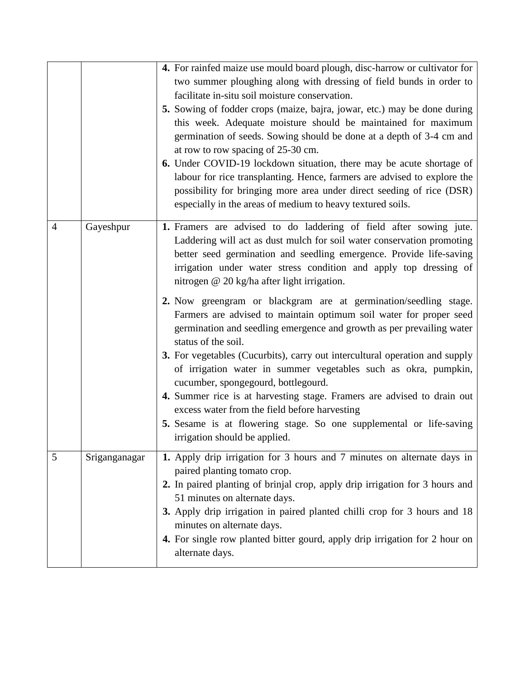|                |               | 4. For rainfed maize use mould board plough, disc-harrow or cultivator for<br>two summer ploughing along with dressing of field bunds in order to<br>facilitate in-situ soil moisture conservation.<br>5. Sowing of fodder crops (maize, bajra, jowar, etc.) may be done during<br>this week. Adequate moisture should be maintained for maximum<br>germination of seeds. Sowing should be done at a depth of 3-4 cm and<br>at row to row spacing of 25-30 cm.<br>6. Under COVID-19 lockdown situation, there may be acute shortage of<br>labour for rice transplanting. Hence, farmers are advised to explore the<br>possibility for bringing more area under direct seeding of rice (DSR)<br>especially in the areas of medium to heavy textured soils.                                                                                                                                                                                                                                                      |
|----------------|---------------|----------------------------------------------------------------------------------------------------------------------------------------------------------------------------------------------------------------------------------------------------------------------------------------------------------------------------------------------------------------------------------------------------------------------------------------------------------------------------------------------------------------------------------------------------------------------------------------------------------------------------------------------------------------------------------------------------------------------------------------------------------------------------------------------------------------------------------------------------------------------------------------------------------------------------------------------------------------------------------------------------------------|
| $\overline{4}$ | Gayeshpur     | 1. Framers are advised to do laddering of field after sowing jute.<br>Laddering will act as dust mulch for soil water conservation promoting<br>better seed germination and seedling emergence. Provide life-saving<br>irrigation under water stress condition and apply top dressing of<br>nitrogen @ 20 kg/ha after light irrigation.<br>2. Now greengram or blackgram are at germination/seedling stage.<br>Farmers are advised to maintain optimum soil water for proper seed<br>germination and seedling emergence and growth as per prevailing water<br>status of the soil.<br>3. For vegetables (Cucurbits), carry out intercultural operation and supply<br>of irrigation water in summer vegetables such as okra, pumpkin,<br>cucumber, spongegourd, bottlegourd.<br>4. Summer rice is at harvesting stage. Framers are advised to drain out<br>excess water from the field before harvesting<br>5. Sesame is at flowering stage. So one supplemental or life-saving<br>irrigation should be applied. |
| 5              | Sriganganagar | 1. Apply drip irrigation for 3 hours and 7 minutes on alternate days in<br>paired planting tomato crop.<br>2. In paired planting of brinjal crop, apply drip irrigation for 3 hours and<br>51 minutes on alternate days.<br>3. Apply drip irrigation in paired planted chilli crop for 3 hours and 18<br>minutes on alternate days.<br>4. For single row planted bitter gourd, apply drip irrigation for 2 hour on<br>alternate days.                                                                                                                                                                                                                                                                                                                                                                                                                                                                                                                                                                          |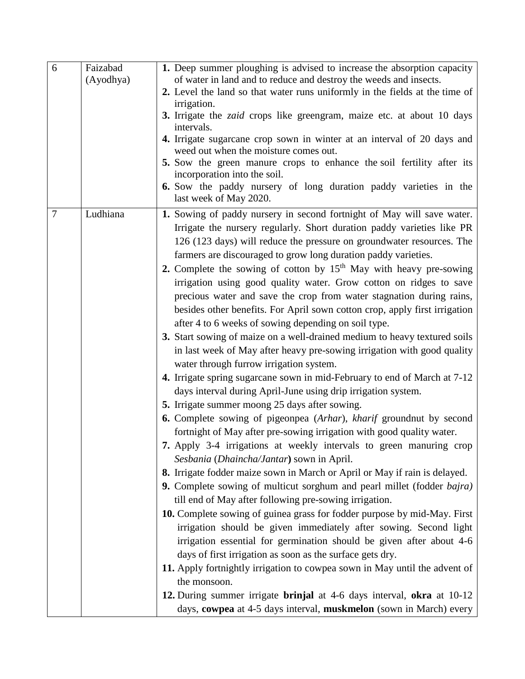| 6              | Faizabad<br>(Ayodhya) | 1. Deep summer ploughing is advised to increase the absorption capacity<br>of water in land and to reduce and destroy the weeds and insects.                                                                                                                                                                                                                                  |
|----------------|-----------------------|-------------------------------------------------------------------------------------------------------------------------------------------------------------------------------------------------------------------------------------------------------------------------------------------------------------------------------------------------------------------------------|
|                |                       | 2. Level the land so that water runs uniformly in the fields at the time of<br>irrigation.                                                                                                                                                                                                                                                                                    |
|                |                       | 3. Irrigate the <i>zaid</i> crops like greengram, maize etc. at about 10 days<br>intervals.                                                                                                                                                                                                                                                                                   |
|                |                       | 4. Irrigate sugarcane crop sown in winter at an interval of 20 days and<br>weed out when the moisture comes out.                                                                                                                                                                                                                                                              |
|                |                       | 5. Sow the green manure crops to enhance the soil fertility after its<br>incorporation into the soil.                                                                                                                                                                                                                                                                         |
|                |                       | 6. Sow the paddy nursery of long duration paddy varieties in the<br>last week of May 2020.                                                                                                                                                                                                                                                                                    |
| $\overline{7}$ | Ludhiana              | 1. Sowing of paddy nursery in second fortnight of May will save water.<br>Irrigate the nursery regularly. Short duration paddy varieties like PR<br>126 (123 days) will reduce the pressure on groundwater resources. The<br>farmers are discouraged to grow long duration paddy varieties.<br>2. Complete the sowing of cotton by 15 <sup>th</sup> May with heavy pre-sowing |
|                |                       | irrigation using good quality water. Grow cotton on ridges to save<br>precious water and save the crop from water stagnation during rains,<br>besides other benefits. For April sown cotton crop, apply first irrigation<br>after 4 to 6 weeks of sowing depending on soil type.                                                                                              |
|                |                       | 3. Start sowing of maize on a well-drained medium to heavy textured soils<br>in last week of May after heavy pre-sowing irrigation with good quality<br>water through furrow irrigation system.                                                                                                                                                                               |
|                |                       | 4. Irrigate spring sugarcane sown in mid-February to end of March at 7-12<br>days interval during April-June using drip irrigation system.                                                                                                                                                                                                                                    |
|                |                       | 5. Irrigate summer moong 25 days after sowing.                                                                                                                                                                                                                                                                                                                                |
|                |                       | 6. Complete sowing of pigeonpea (Arhar), kharif groundnut by second<br>fortnight of May after pre-sowing irrigation with good quality water.                                                                                                                                                                                                                                  |
|                |                       | 7. Apply 3-4 irrigations at weekly intervals to green manuring crop<br>Sesbania (Dhaincha/Jantar) sown in April.                                                                                                                                                                                                                                                              |
|                |                       | 8. Irrigate fodder maize sown in March or April or May if rain is delayed.                                                                                                                                                                                                                                                                                                    |
|                |                       | 9. Complete sowing of multicut sorghum and pearl millet (fodder bajra)<br>till end of May after following pre-sowing irrigation.                                                                                                                                                                                                                                              |
|                |                       | 10. Complete sowing of guinea grass for fodder purpose by mid-May. First<br>irrigation should be given immediately after sowing. Second light<br>irrigation essential for germination should be given after about 4-6<br>days of first irrigation as soon as the surface gets dry.                                                                                            |
|                |                       | 11. Apply fortnightly irrigation to cowpea sown in May until the advent of                                                                                                                                                                                                                                                                                                    |
|                |                       | the monsoon.                                                                                                                                                                                                                                                                                                                                                                  |
|                |                       | 12. During summer irrigate brinjal at 4-6 days interval, okra at 10-12                                                                                                                                                                                                                                                                                                        |
|                |                       | days, cowpea at 4-5 days interval, muskmelon (sown in March) every                                                                                                                                                                                                                                                                                                            |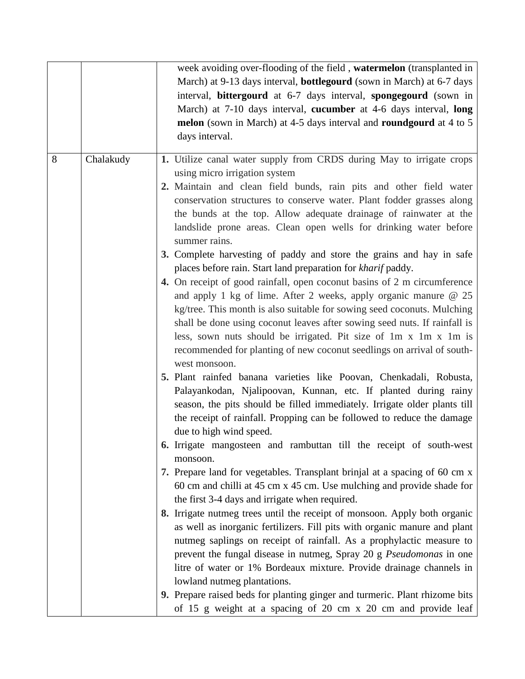|   |           | week avoiding over-flooding of the field, watermelon (transplanted in              |
|---|-----------|------------------------------------------------------------------------------------|
|   |           | March) at 9-13 days interval, <b>bottlegourd</b> (sown in March) at 6-7 days       |
|   |           | interval, bittergourd at 6-7 days interval, spongegourd (sown in                   |
|   |           | March) at 7-10 days interval, cucumber at 4-6 days interval, long                  |
|   |           | melon (sown in March) at 4-5 days interval and roundgourd at 4 to 5                |
|   |           | days interval.                                                                     |
|   |           |                                                                                    |
| 8 | Chalakudy | 1. Utilize canal water supply from CRDS during May to irrigate crops               |
|   |           | using micro irrigation system                                                      |
|   |           | 2. Maintain and clean field bunds, rain pits and other field water                 |
|   |           | conservation structures to conserve water. Plant fodder grasses along              |
|   |           | the bunds at the top. Allow adequate drainage of rainwater at the                  |
|   |           | landslide prone areas. Clean open wells for drinking water before<br>summer rains. |
|   |           | 3. Complete harvesting of paddy and store the grains and hay in safe               |
|   |           | places before rain. Start land preparation for kharif paddy.                       |
|   |           | 4. On receipt of good rainfall, open coconut basins of 2 m circumference           |
|   |           | and apply 1 kg of lime. After 2 weeks, apply organic manure $@$ 25                 |
|   |           | kg/tree. This month is also suitable for sowing seed coconuts. Mulching            |
|   |           | shall be done using coconut leaves after sowing seed nuts. If rainfall is          |
|   |           | less, sown nuts should be irrigated. Pit size of 1m x 1m x 1m is                   |
|   |           | recommended for planting of new coconut seedlings on arrival of south-             |
|   |           | west monsoon.                                                                      |
|   |           | 5. Plant rainfed banana varieties like Poovan, Chenkadali, Robusta,                |
|   |           | Palayankodan, Njalipoovan, Kunnan, etc. If planted during rainy                    |
|   |           | season, the pits should be filled immediately. Irrigate older plants till          |
|   |           | the receipt of rainfall. Propping can be followed to reduce the damage             |
|   |           | due to high wind speed.                                                            |
|   |           | 6. Irrigate mangosteen and rambuttan till the receipt of south-west                |
|   |           | monsoon.                                                                           |
|   |           | 7. Prepare land for vegetables. Transplant brinjal at a spacing of 60 cm x         |
|   |           | 60 cm and chilli at 45 cm x 45 cm. Use mulching and provide shade for              |
|   |           | the first 3-4 days and irrigate when required.                                     |
|   |           | 8. Irrigate nutmeg trees until the receipt of monsoon. Apply both organic          |
|   |           | as well as inorganic fertilizers. Fill pits with organic manure and plant          |
|   |           | nutmeg saplings on receipt of rainfall. As a prophylactic measure to               |
|   |           | prevent the fungal disease in nutmeg, Spray 20 g Pseudomonas in one                |
|   |           | litre of water or 1% Bordeaux mixture. Provide drainage channels in                |
|   |           | lowland nutmeg plantations.                                                        |
|   |           | 9. Prepare raised beds for planting ginger and turmeric. Plant rhizome bits        |
|   |           | of 15 g weight at a spacing of 20 cm x 20 cm and provide leaf                      |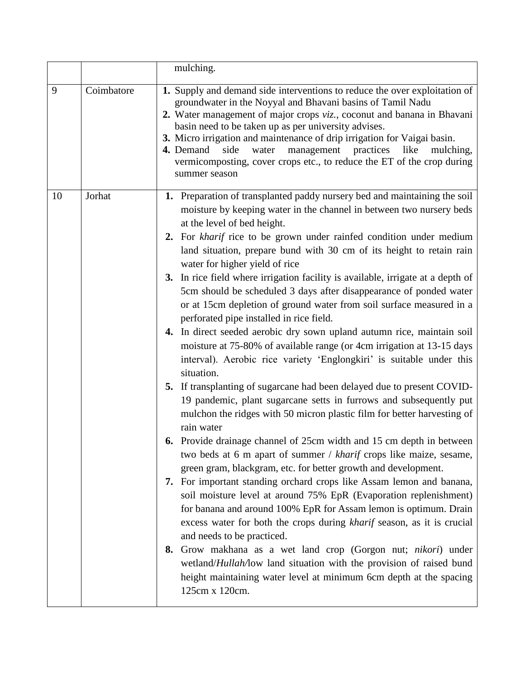|                 | mulching.                                                                                                                                                                                                                                                                                                                                                                                                                                                                                                                                                                                                                                                                                                                                                                                                                                                                                                                                                                                                                                                                                                                                                                                                                                                                                                                                                                                                                                                                                                                                                                                                                                                                                                                                                                                                                                                                                                                  |
|-----------------|----------------------------------------------------------------------------------------------------------------------------------------------------------------------------------------------------------------------------------------------------------------------------------------------------------------------------------------------------------------------------------------------------------------------------------------------------------------------------------------------------------------------------------------------------------------------------------------------------------------------------------------------------------------------------------------------------------------------------------------------------------------------------------------------------------------------------------------------------------------------------------------------------------------------------------------------------------------------------------------------------------------------------------------------------------------------------------------------------------------------------------------------------------------------------------------------------------------------------------------------------------------------------------------------------------------------------------------------------------------------------------------------------------------------------------------------------------------------------------------------------------------------------------------------------------------------------------------------------------------------------------------------------------------------------------------------------------------------------------------------------------------------------------------------------------------------------------------------------------------------------------------------------------------------------|
| 9<br>Coimbatore | 1. Supply and demand side interventions to reduce the over exploitation of<br>groundwater in the Noyyal and Bhavani basins of Tamil Nadu<br>2. Water management of major crops viz., coconut and banana in Bhavani<br>basin need to be taken up as per university advises.<br>3. Micro irrigation and maintenance of drip irrigation for Vaigai basin.<br>4. Demand<br>side<br>water<br>management practices<br>like<br>mulching,<br>vermicomposting, cover crops etc., to reduce the ET of the crop during<br>summer season                                                                                                                                                                                                                                                                                                                                                                                                                                                                                                                                                                                                                                                                                                                                                                                                                                                                                                                                                                                                                                                                                                                                                                                                                                                                                                                                                                                               |
| Jorhat<br>10    | 1. Preparation of transplanted paddy nursery bed and maintaining the soil<br>moisture by keeping water in the channel in between two nursery beds<br>at the level of bed height.<br>2. For kharif rice to be grown under rainfed condition under medium<br>land situation, prepare bund with 30 cm of its height to retain rain<br>water for higher yield of rice<br>3. In rice field where irrigation facility is available, irrigate at a depth of<br>5cm should be scheduled 3 days after disappearance of ponded water<br>or at 15cm depletion of ground water from soil surface measured in a<br>perforated pipe installed in rice field.<br>4. In direct seeded aerobic dry sown upland autumn rice, maintain soil<br>moisture at 75-80% of available range (or 4cm irrigation at 13-15 days<br>interval). Aerobic rice variety 'Englongkiri' is suitable under this<br>situation.<br>5. If transplanting of sugarcane had been delayed due to present COVID-<br>19 pandemic, plant sugarcane setts in furrows and subsequently put<br>mulchon the ridges with 50 micron plastic film for better harvesting of<br>rain water<br><b>6.</b> Provide drainage channel of 25cm width and 15 cm depth in between<br>two beds at 6 m apart of summer / kharif crops like maize, sesame,<br>green gram, blackgram, etc. for better growth and development.<br>7. For important standing orchard crops like Assam lemon and banana,<br>soil moisture level at around 75% EpR (Evaporation replenishment)<br>for banana and around 100% EpR for Assam lemon is optimum. Drain<br>excess water for both the crops during kharif season, as it is crucial<br>and needs to be practiced.<br>8. Grow makhana as a wet land crop (Gorgon nut; nikori) under<br>wetland/ <i>Hullah/low</i> land situation with the provision of raised bund<br>height maintaining water level at minimum 6cm depth at the spacing<br>125cm x 120cm. |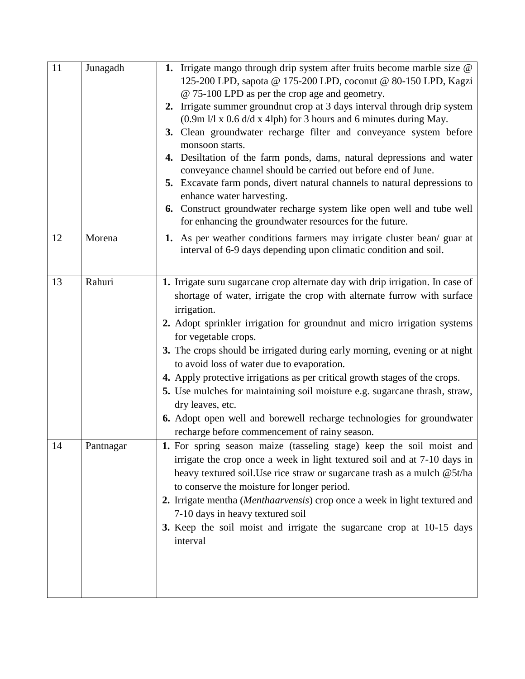| 11 | Junagadh  | 1. Irrigate mango through drip system after fruits become marble size @<br>125-200 LPD, sapota @ 175-200 LPD, coconut @ 80-150 LPD, Kagzi<br>@ 75-100 LPD as per the crop age and geometry.<br>2. Irrigate summer groundnut crop at 3 days interval through drip system<br>$(0.9 \text{m})/1 \times 0.6$ d/d x 4lph) for 3 hours and 6 minutes during May.<br>3. Clean groundwater recharge filter and conveyance system before<br>monsoon starts.<br>4. Desiltation of the farm ponds, dams, natural depressions and water<br>conveyance channel should be carried out before end of June.<br>5. Excavate farm ponds, divert natural channels to natural depressions to<br>enhance water harvesting.<br>6. Construct groundwater recharge system like open well and tube well<br>for enhancing the groundwater resources for the future. |
|----|-----------|-------------------------------------------------------------------------------------------------------------------------------------------------------------------------------------------------------------------------------------------------------------------------------------------------------------------------------------------------------------------------------------------------------------------------------------------------------------------------------------------------------------------------------------------------------------------------------------------------------------------------------------------------------------------------------------------------------------------------------------------------------------------------------------------------------------------------------------------|
| 12 | Morena    | 1. As per weather conditions farmers may irrigate cluster bean/ guar at<br>interval of 6-9 days depending upon climatic condition and soil.                                                                                                                                                                                                                                                                                                                                                                                                                                                                                                                                                                                                                                                                                               |
| 13 | Rahuri    | 1. Irrigate suru sugarcane crop alternate day with drip irrigation. In case of<br>shortage of water, irrigate the crop with alternate furrow with surface<br>irrigation.<br>2. Adopt sprinkler irrigation for groundnut and micro irrigation systems<br>for vegetable crops.<br>3. The crops should be irrigated during early morning, evening or at night<br>to avoid loss of water due to evaporation.<br>4. Apply protective irrigations as per critical growth stages of the crops.<br>5. Use mulches for maintaining soil moisture e.g. sugarcane thrash, straw,<br>dry leaves, etc.<br>6. Adopt open well and borewell recharge technologies for groundwater<br>recharge before commencement of rainy season.                                                                                                                       |
| 14 | Pantnagar | 1. For spring season maize (tasseling stage) keep the soil moist and<br>irrigate the crop once a week in light textured soil and at 7-10 days in<br>heavy textured soil. Use rice straw or sugarcane trash as a mulch @5t/ha<br>to conserve the moisture for longer period.<br>2. Irrigate mentha (Menthaarvensis) crop once a week in light textured and<br>7-10 days in heavy textured soil<br>3. Keep the soil moist and irrigate the sugarcane crop at 10-15 days<br>interval                                                                                                                                                                                                                                                                                                                                                         |